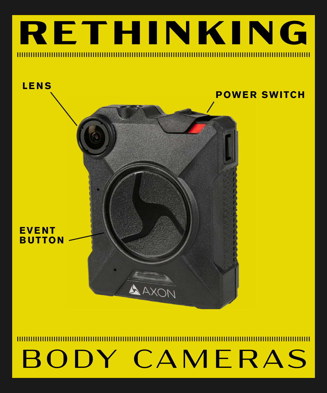



### **RETHINKING**

# BODY CAMERAS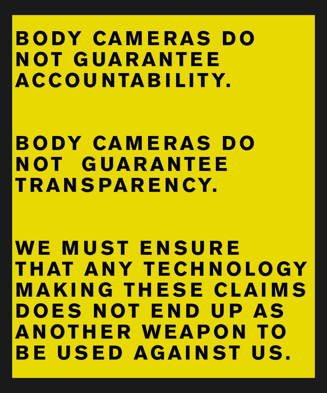## **B O DY CA M E R A S D O N OT G UA R A N T E E ACCOU NTAB I LITY.**

## **B O DY CA M E R A S D O N OT G UA R A N T E E TRAN S PAR E N CY.**

### **W E M U S T E N S U R E T H AT A N Y T E C H N O LO GY M A K I N G T H E S E C L A I M S D O E S N OT E N D U P A S A N OT H E R W E A P O N TO BE USED AGAINST US.**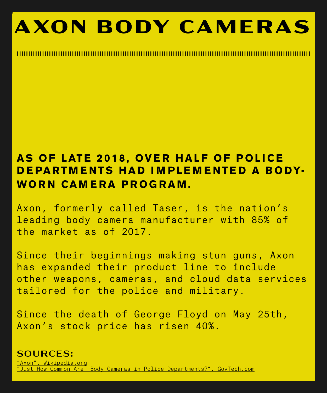**'**

## **AXON BODY CAMERAS**

### **AS OF LATE 2018, OVER HALF OF POLICE D E PARTM E NTS HAD I M PLE M E NTE D A BODY-WORN CAMERA PROGRAM.**

Axon, formerly called Taser, is the nation's leading body camera manufacturer with 85% of the market as of 2017.

Since their beginnings making stun guns, Axon has expanded their product line to include other weapons, cameras, and cloud data services tailored for the police and military.

#### Since the death of George Floyd on May 25th, Axon's stock price has risen 40%.

SOURCES:

"Axon", Wikipedia.org "Just How Common Are Body Cameras in Police Departments?", GovTech.com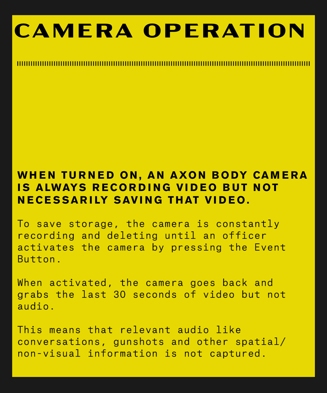## **CAMERA OPERATION**

### WHEN TURNED ON, AN AXON BODY CAMERA **IS ALWAYS RECORDING VIDEO BUT NOT NECESSARILY SAVING THAT VIDEO.**

To save storage, the camera is constantly recording and deleting until an officer activates the camera by pressing the Event Button.

When activated, the camera goes back and grabs the last 30 seconds of video but not

### audio.

### This means that relevant audio like conversations, gunshots and other spatial/ non-visual information is not captured.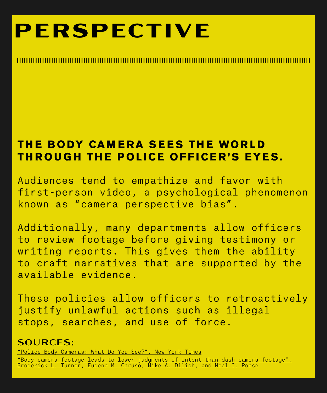## **PERSPECTIVE**

### **THE BODY CAMERA SEES THE WORLD THROUGH THE POLICE OFFICER'S EYES.**

Audiences tend to empathize and favor with first-person video, a psychological phenomenon known as "camera perspective bias".

Additionally, many departments allow officers to review footage before giving testimony or writing reports. This gives them the ability to craft narratives that are supported by the available evidence.

These policies allow officers to retroactively justify unlawful actions such as illegal stops, searches, and use of force.

#### SOURCES:

"Police Body Cameras: What Do You See?", New York Times

"Body camera footage leads to lower judgments of intent than dash camera footage", Broderick L. Turner, Eugene M. Caruso, Mike A. Dilich, and Neal J. Roese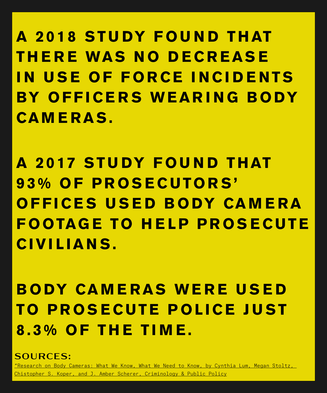SOURCES:

"Research on Body Cameras: What We Know, What We Need to Know, by Cynthia Lum, Megan Stoltz,

Chistopher S. Koper, and J. Amber Scherer, Criminology & Public Policy

**A 2 0 1 8 S T U DY F O U N D T H AT T H E R E WA S N O D E C R E A S E I N U S E O F F O R C E I N C I D E N T S BY O F F I C E R S W E A R I N G B O DY CAMERAS.**

**A 2017 STUDY FOUND T H AT 9 3 % O F P R O S E C U TO R S ' O F F I C E S U S E D B O DY CA M E R A F O OTAG E TO H E L P P R O S E C U T E CIVILIANS.**

**BODY CAMERAS WERE USED** 

### **TO P R O S E C U T E P O L I C E J U S T 8.3% OF THE TIME.**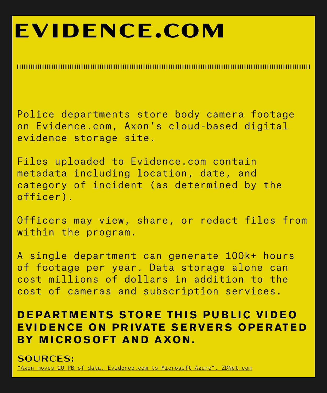## **EVIDENCE.COM**

Police departments store body camera footage on Evidence.com, Axon's cloud-based digital evidence storage site.

Files uploaded to Evidence.com contain metadata including location, date, and category of incident (as determined by the officer).

Officers may view, share, or redact files from within the program.

### **DEPARTMENTS STORE THIS PUBLIC VIDEO EVIDENCE ON PRIVATE SERVERS OPERATED BY MICROSOFT AND AXON.**

A single department can generate 100k+ hours of footage per year. Data storage alone can cost millions of dollars in addition to the cost of cameras and subscription services.

SOURCES: "Axon moves 20 PB of data, Evidence.com to Microsoft Azure", ZDNet.com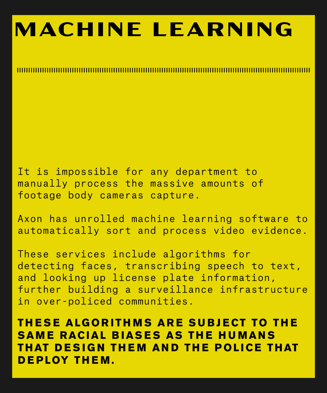## **MACHINE LEARNING**

It is impossible for any department to manually process the massive amounts of footage body cameras capture.

Axon has unrolled machine learning software to automatically sort and process video evidence.

### **THESE ALGORITHMS ARE SUBJECT TO THE SAME RACIAL BIASES AS THE HUMANS THAT DESIGN THEM AND THE POLICE THAT DEPLOY THEM.**

These services include algorithms for detecting faces, transcribing speech to text, and looking up license plate information, further building a surveillance infrastructure

#### in over-policed communities.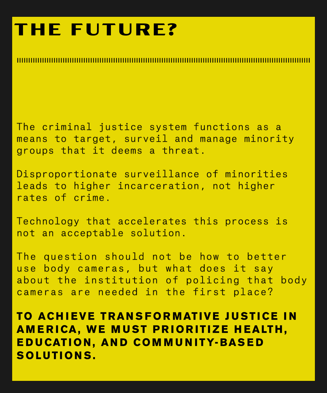### **THE FUTURE?**

The criminal justice system functions as a means to target, surveil and manage minority groups that it deems a threat.

Disproportionate surveillance of minorities leads to higher incarceration, not higher rates of crime.

Technology that accelerates this process is not an acceptable solution.

### **TO ACHIEVE TRANSFORMATIVE JUSTICE IN AMERICA, WE MUST PRIORITIZE HEALTH, E D U CAT I O N , A N D C O M M U N I T Y- BA S E D SOLUTIONS.**

The question should not be how to better use body cameras, but what does it say about the institution of policing that body cameras are needed in the first place?